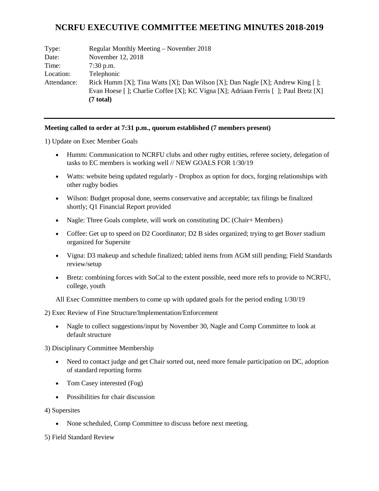# **NCRFU EXECUTIVE COMMITTEE MEETING MINUTES 2018-2019**

| Type:       | Regular Monthly Meeting – November 2018                                            |
|-------------|------------------------------------------------------------------------------------|
| Date:       | November 12, 2018                                                                  |
| Time:       | $7:30$ p.m.                                                                        |
| Location:   | Telephonic                                                                         |
| Attendance: | Rick Humm [X]; Tina Watts [X]; Dan Wilson [X]; Dan Nagle [X]; Andrew King [ ];     |
|             | Evan Hoese []; Charlie Coffee [X]; KC Vigna [X]; Adriaan Ferris []; Paul Bretz [X] |
|             | $(7 \text{ total})$                                                                |

#### **Meeting called to order at 7:31 p.m., quorum established (7 members present)**

1) Update on Exec Member Goals

- Humm: Communication to NCRFU clubs and other rugby entities, referee society, delegation of tasks to EC members is working well // NEW GOALS FOR 1/30/19
- Watts: website being updated regularly Dropbox as option for docs, forging relationships with other rugby bodies
- Wilson: Budget proposal done, seems conservative and acceptable; tax filings be finalized shortly; Q1 Financial Report provided
- Nagle: Three Goals complete, will work on constituting DC (Chair+ Members)
- Coffee: Get up to speed on D2 Coordinator; D2 B sides organized; trying to get Boxer stadium organized for Supersite
- Vigna: D3 makeup and schedule finalized; tabled items from AGM still pending; Field Standards review/setup
- Bretz: combining forces with SoCal to the extent possible, need more refs to provide to NCRFU, college, youth

All Exec Committee members to come up with updated goals for the period ending 1/30/19

2) Exec Review of Fine Structure/Implementation/Enforcement

• Nagle to collect suggestions/input by November 30, Nagle and Comp Committee to look at default structure

3) Disciplinary Committee Membership

- Need to contact judge and get Chair sorted out, need more female participation on DC, adoption of standard reporting forms
- Tom Casey interested (Fog)
- Possibilities for chair discussion
- 4) Supersites
	- None scheduled, Comp Committee to discuss before next meeting.

5) Field Standard Review